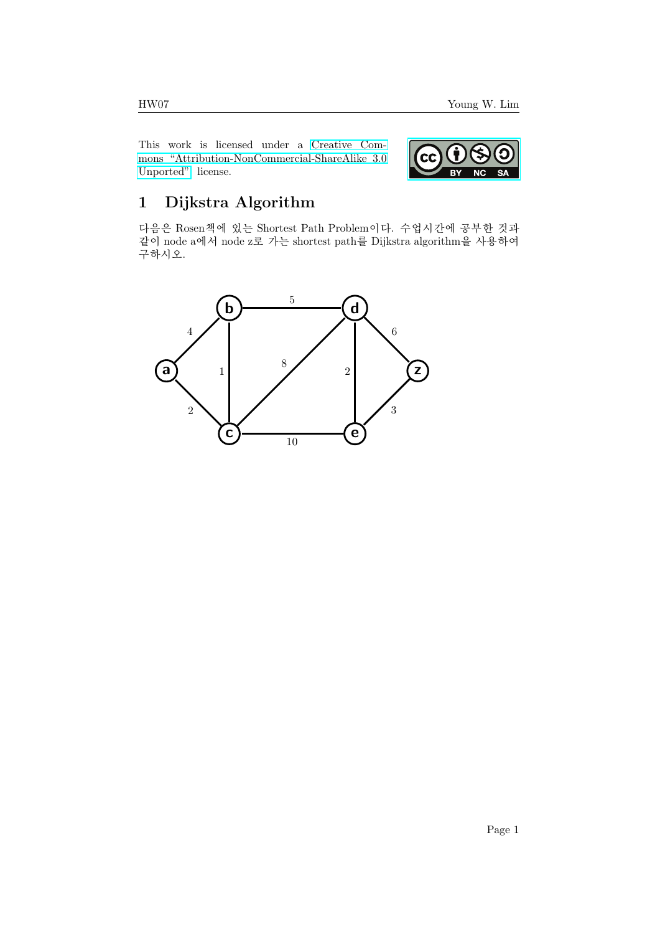This work is licensed under a [Creative Com](https://creativecommons.org/licenses/by-nc-sa/3.0/deed.en)[mons "Attribution-NonCommercial-ShareAlike 3.0](https://creativecommons.org/licenses/by-nc-sa/3.0/deed.en) [Unported"](https://creativecommons.org/licenses/by-nc-sa/3.0/deed.en) license.



## 1 Dijkstra Algorithm

다음은 Rosen책에 있는 Shortest Path Problem이다. 수업시간에 공부한 것과 같이 node a에서 node z로 가는 shortest path를 Dijkstra algorithm을 사용하여 구하시오.